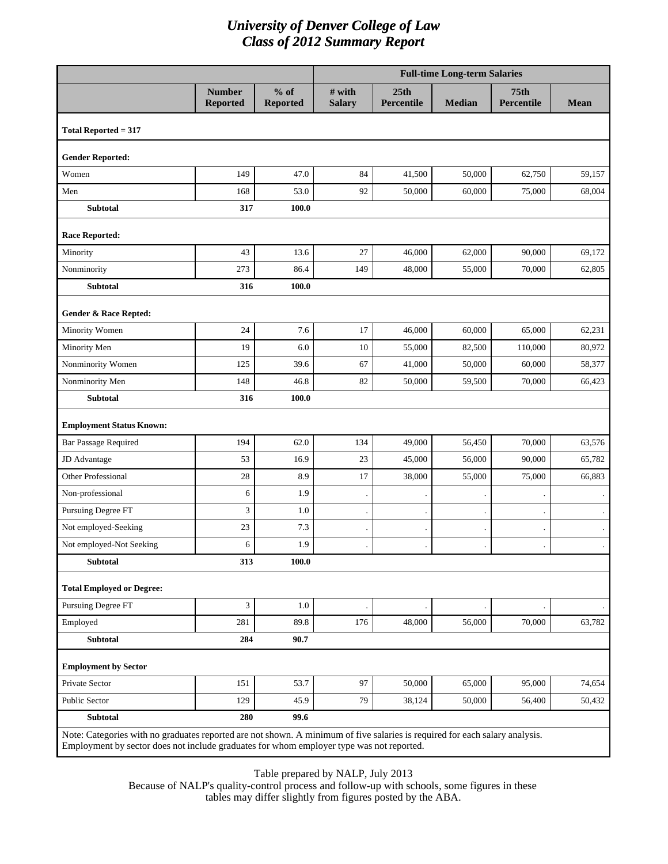|                                                                                                                                                                                                                         | <b>Full-time Long-term Salaries</b> |                           |                         |                    |               |                                       |             |  |  |
|-------------------------------------------------------------------------------------------------------------------------------------------------------------------------------------------------------------------------|-------------------------------------|---------------------------|-------------------------|--------------------|---------------|---------------------------------------|-------------|--|--|
|                                                                                                                                                                                                                         | <b>Number</b><br><b>Reported</b>    | $%$ of<br><b>Reported</b> | # with<br><b>Salary</b> | 25th<br>Percentile | <b>Median</b> | 75 <sub>th</sub><br><b>Percentile</b> | <b>Mean</b> |  |  |
| Total Reported $= 317$                                                                                                                                                                                                  |                                     |                           |                         |                    |               |                                       |             |  |  |
| <b>Gender Reported:</b>                                                                                                                                                                                                 |                                     |                           |                         |                    |               |                                       |             |  |  |
| Women                                                                                                                                                                                                                   | 149                                 | 47.0                      | 84                      | 41,500             | 50,000        | 62,750                                | 59,157      |  |  |
| Men                                                                                                                                                                                                                     | 168                                 | 53.0                      | 92                      | 50,000             | 60.000        | 75,000                                | 68,004      |  |  |
| <b>Subtotal</b>                                                                                                                                                                                                         | 317                                 | 100.0                     |                         |                    |               |                                       |             |  |  |
| <b>Race Reported:</b>                                                                                                                                                                                                   |                                     |                           |                         |                    |               |                                       |             |  |  |
| Minority                                                                                                                                                                                                                | 43                                  | 13.6                      | 27                      | 46,000             | 62,000        | 90,000                                | 69,172      |  |  |
| Nonminority                                                                                                                                                                                                             | 273                                 | 86.4                      | 149                     | 48,000             | 55,000        | 70,000                                | 62,805      |  |  |
| <b>Subtotal</b>                                                                                                                                                                                                         | 316                                 | 100.0                     |                         |                    |               |                                       |             |  |  |
| <b>Gender &amp; Race Repted:</b>                                                                                                                                                                                        |                                     |                           |                         |                    |               |                                       |             |  |  |
| Minority Women                                                                                                                                                                                                          | 24                                  | 7.6                       | 17                      | 46,000             | 60,000        | 65,000                                | 62,231      |  |  |
| Minority Men                                                                                                                                                                                                            | 19                                  | 6.0                       | 10                      | 55,000             | 82,500        | 110,000                               | 80,972      |  |  |
| Nonminority Women                                                                                                                                                                                                       | 125                                 | 39.6                      | 67                      | 41,000             | 50,000        | 60,000                                | 58,377      |  |  |
| Nonminority Men                                                                                                                                                                                                         | 148                                 | 46.8                      | 82                      | 50,000             | 59,500        | 70,000                                | 66,423      |  |  |
| Subtotal                                                                                                                                                                                                                | 316                                 | 100.0                     |                         |                    |               |                                       |             |  |  |
| <b>Employment Status Known:</b>                                                                                                                                                                                         |                                     |                           |                         |                    |               |                                       |             |  |  |
| <b>Bar Passage Required</b>                                                                                                                                                                                             | 194                                 | 62.0                      | 134                     | 49,000             | 56,450        | 70,000                                | 63,576      |  |  |
| JD Advantage                                                                                                                                                                                                            | 53                                  | 16.9                      | 23                      | 45,000             | 56,000        | 90,000                                | 65,782      |  |  |
| <b>Other Professional</b>                                                                                                                                                                                               | 28                                  | 8.9                       | 17                      | 38,000             | 55,000        | 75,000                                | 66,883      |  |  |
| Non-professional                                                                                                                                                                                                        | 6                                   | 1.9                       |                         |                    |               |                                       |             |  |  |
| Pursuing Degree FT                                                                                                                                                                                                      | 3                                   | 1.0                       |                         |                    |               |                                       |             |  |  |
| Not employed-Seeking                                                                                                                                                                                                    | 23                                  | 7.3                       |                         |                    |               |                                       |             |  |  |
| Not employed-Not Seeking                                                                                                                                                                                                | 6                                   | 1.9                       |                         |                    |               |                                       |             |  |  |
| <b>Subtotal</b>                                                                                                                                                                                                         | 313                                 | 100.0                     |                         |                    |               |                                       |             |  |  |
| <b>Total Employed or Degree:</b>                                                                                                                                                                                        |                                     |                           |                         |                    |               |                                       |             |  |  |
| <b>Pursuing Degree FT</b>                                                                                                                                                                                               | 3                                   | 1.0                       |                         |                    |               |                                       |             |  |  |
| Employed                                                                                                                                                                                                                | 281                                 | 89.8                      | 176                     | 48,000             | 56,000        | 70,000                                | 63,782      |  |  |
| <b>Subtotal</b>                                                                                                                                                                                                         | 284                                 | 90.7                      |                         |                    |               |                                       |             |  |  |
| <b>Employment by Sector</b>                                                                                                                                                                                             |                                     |                           |                         |                    |               |                                       |             |  |  |
| Private Sector                                                                                                                                                                                                          | 151                                 | 53.7                      | 97                      | 50,000             | 65,000        | 95,000                                | 74,654      |  |  |
| <b>Public Sector</b>                                                                                                                                                                                                    | 129                                 | 45.9                      | 79                      | 38,124             | 50,000        | 56,400                                | 50,432      |  |  |
| Subtotal                                                                                                                                                                                                                | 280                                 | 99.6                      |                         |                    |               |                                       |             |  |  |
| Note: Categories with no graduates reported are not shown. A minimum of five salaries is required for each salary analysis.<br>Employment by sector does not include graduates for whom employer type was not reported. |                                     |                           |                         |                    |               |                                       |             |  |  |

Table prepared by NALP, July 2013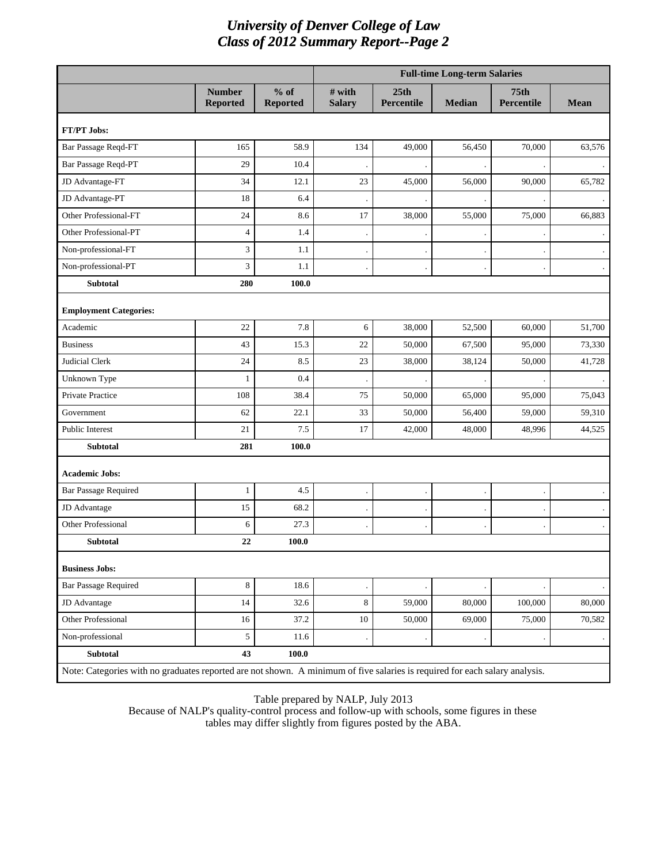|                                                                                                                             |                                  |                           |                           |                           | <b>Full-time Long-term Salaries</b> |                                  |                |  |
|-----------------------------------------------------------------------------------------------------------------------------|----------------------------------|---------------------------|---------------------------|---------------------------|-------------------------------------|----------------------------------|----------------|--|
|                                                                                                                             | <b>Number</b><br><b>Reported</b> | $%$ of<br><b>Reported</b> | $#$ with<br><b>Salary</b> | 25th<br><b>Percentile</b> | <b>Median</b>                       | <b>75th</b><br><b>Percentile</b> | <b>Mean</b>    |  |
| FT/PT Jobs:                                                                                                                 |                                  |                           |                           |                           |                                     |                                  |                |  |
| Bar Passage Reqd-FT                                                                                                         | 165                              | 58.9                      | 134                       | 49,000                    | 56,450                              | 70,000                           | 63,576         |  |
| Bar Passage Reqd-PT                                                                                                         | 29                               | 10.4                      |                           |                           |                                     |                                  |                |  |
| JD Advantage-FT                                                                                                             | 34                               | 12.1                      | 23                        | 45,000                    | 56,000                              | 90,000                           | 65,782         |  |
| JD Advantage-PT                                                                                                             | 18                               | 6.4                       |                           |                           |                                     |                                  |                |  |
| Other Professional-FT                                                                                                       | 24                               | 8.6                       | 17                        | 38,000                    | 55,000                              | 75,000                           | 66,883         |  |
| Other Professional-PT                                                                                                       | 4                                | 1.4                       |                           |                           |                                     |                                  | $\blacksquare$ |  |
| Non-professional-FT                                                                                                         | 3                                | 1.1                       |                           |                           |                                     |                                  |                |  |
| Non-professional-PT                                                                                                         | 3                                | 1.1                       |                           |                           |                                     |                                  |                |  |
| Subtotal                                                                                                                    | 280                              | 100.0                     |                           |                           |                                     |                                  |                |  |
| <b>Employment Categories:</b>                                                                                               |                                  |                           |                           |                           |                                     |                                  |                |  |
| Academic                                                                                                                    | 22                               | 7.8                       | 6                         | 38,000                    | 52,500                              | 60,000                           | 51,700         |  |
| <b>Business</b>                                                                                                             | 43                               | 15.3                      | 22                        | 50,000                    | 67,500                              | 95,000                           | 73,330         |  |
| <b>Judicial Clerk</b>                                                                                                       | 24                               | 8.5                       | 23                        | 38,000                    | 38,124                              | 50,000                           | 41,728         |  |
| Unknown Type                                                                                                                | 1                                | 0.4                       |                           |                           |                                     |                                  |                |  |
| Private Practice                                                                                                            | 108                              | 38.4                      | 75                        | 50,000                    | 65,000                              | 95,000                           | 75,043         |  |
| Government                                                                                                                  | 62                               | 22.1                      | 33                        | 50,000                    | 56,400                              | 59,000                           | 59,310         |  |
| Public Interest                                                                                                             | 21                               | 7.5                       | 17                        | 42,000                    | 48,000                              | 48,996                           | 44,525         |  |
| <b>Subtotal</b>                                                                                                             | 281                              | 100.0                     |                           |                           |                                     |                                  |                |  |
| <b>Academic Jobs:</b>                                                                                                       |                                  |                           |                           |                           |                                     |                                  |                |  |
| <b>Bar Passage Required</b>                                                                                                 | 1                                | 4.5                       |                           |                           |                                     |                                  |                |  |
| JD Advantage                                                                                                                | 15                               | 68.2                      |                           |                           |                                     |                                  |                |  |
| <b>Other Professional</b>                                                                                                   | 6                                | 27.3                      |                           |                           |                                     |                                  |                |  |
| <b>Subtotal</b>                                                                                                             | 22                               | 100.0                     |                           |                           |                                     |                                  |                |  |
| <b>Business Jobs:</b>                                                                                                       |                                  |                           |                           |                           |                                     |                                  |                |  |
| <b>Bar Passage Required</b>                                                                                                 | 8                                | 18.6                      |                           |                           |                                     |                                  |                |  |
| JD Advantage                                                                                                                | 14                               | 32.6                      | 8                         | 59,000                    | 80,000                              | 100,000                          | 80,000         |  |
| Other Professional                                                                                                          | 16                               | 37.2                      | 10                        | 50,000                    | 69,000                              | 75,000                           | 70,582         |  |
| Non-professional                                                                                                            | $\mathfrak s$                    | 11.6                      |                           |                           |                                     |                                  | $\bullet$      |  |
| Subtotal                                                                                                                    | 43                               | 100.0                     |                           |                           |                                     |                                  |                |  |
| Note: Categories with no graduates reported are not shown. A minimum of five salaries is required for each salary analysis. |                                  |                           |                           |                           |                                     |                                  |                |  |

Table prepared by NALP, July 2013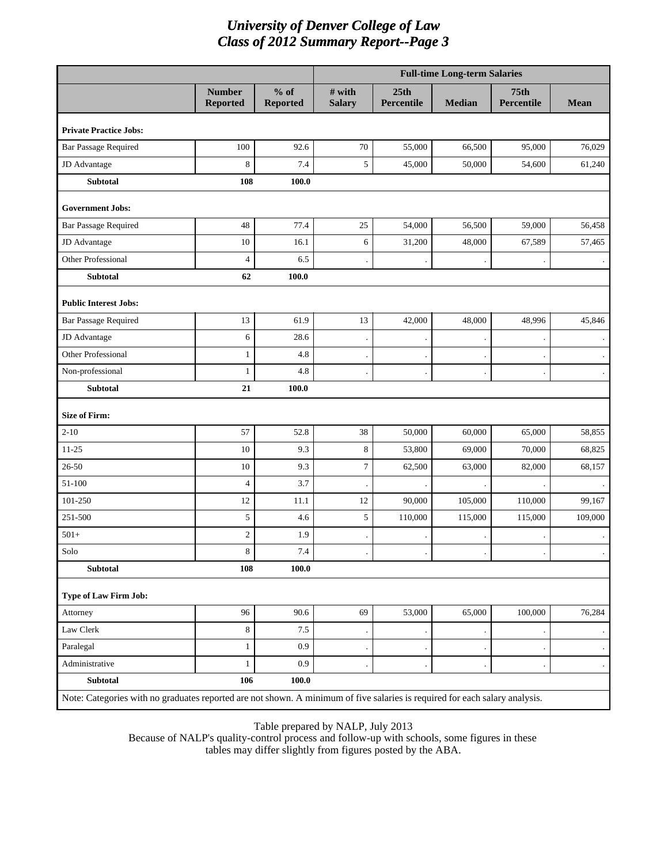|                                                                                                                             |                                  |                           | <b>Full-time Long-term Salaries</b> |                    |               |                           |             |  |  |
|-----------------------------------------------------------------------------------------------------------------------------|----------------------------------|---------------------------|-------------------------------------|--------------------|---------------|---------------------------|-------------|--|--|
|                                                                                                                             | <b>Number</b><br><b>Reported</b> | $%$ of<br><b>Reported</b> | # with<br><b>Salary</b>             | 25th<br>Percentile | <b>Median</b> | <b>75th</b><br>Percentile | <b>Mean</b> |  |  |
| <b>Private Practice Jobs:</b>                                                                                               |                                  |                           |                                     |                    |               |                           |             |  |  |
| <b>Bar Passage Required</b>                                                                                                 | 100                              | 92.6                      | $70\,$                              | 55,000             | 66,500        | 95,000                    | 76,029      |  |  |
| JD Advantage                                                                                                                | 8                                | 7.4                       | 5                                   | 45,000             | 50,000        | 54,600                    | 61,240      |  |  |
| <b>Subtotal</b>                                                                                                             | 108                              | 100.0                     |                                     |                    |               |                           |             |  |  |
| <b>Government Jobs:</b>                                                                                                     |                                  |                           |                                     |                    |               |                           |             |  |  |
| <b>Bar Passage Required</b>                                                                                                 | 48                               | 77.4                      | 25                                  | 54,000             | 56,500        | 59,000                    | 56,458      |  |  |
| JD Advantage                                                                                                                | 10                               | 16.1                      | 6                                   | 31,200             | 48,000        | 67,589                    | 57,465      |  |  |
| <b>Other Professional</b>                                                                                                   | $\overline{4}$                   | 6.5                       |                                     |                    |               |                           |             |  |  |
| Subtotal                                                                                                                    | 62                               | 100.0                     |                                     |                    |               |                           |             |  |  |
| <b>Public Interest Jobs:</b>                                                                                                |                                  |                           |                                     |                    |               |                           |             |  |  |
| <b>Bar Passage Required</b>                                                                                                 | 13                               | 61.9                      | 13                                  | 42,000             | 48,000        | 48,996                    | 45,846      |  |  |
| JD Advantage                                                                                                                | 6                                | 28.6                      |                                     |                    |               |                           |             |  |  |
| <b>Other Professional</b>                                                                                                   | $\mathbf{1}$                     | 4.8                       |                                     |                    |               |                           |             |  |  |
| Non-professional                                                                                                            | $\mathbf{1}$                     | 4.8                       |                                     |                    |               |                           |             |  |  |
| <b>Subtotal</b>                                                                                                             | 21                               | 100.0                     |                                     |                    |               |                           |             |  |  |
| <b>Size of Firm:</b>                                                                                                        |                                  |                           |                                     |                    |               |                           |             |  |  |
| $2 - 10$                                                                                                                    | 57                               | 52.8                      | 38                                  | 50,000             | 60,000        | 65,000                    | 58,855      |  |  |
| $11 - 25$                                                                                                                   | 10                               | 9.3                       | 8                                   | 53,800             | 69,000        | 70,000                    | 68,825      |  |  |
| $26 - 50$                                                                                                                   | 10                               | 9.3                       | $\tau$                              | 62,500             | 63,000        | 82,000                    | 68,157      |  |  |
| 51-100                                                                                                                      | $\overline{4}$                   | 3.7                       |                                     |                    |               |                           |             |  |  |
| 101-250                                                                                                                     | 12                               | 11.1                      | 12                                  | 90,000             | 105,000       | 110,000                   | 99,167      |  |  |
| 251-500                                                                                                                     | 5                                | 4.6                       | 5                                   | 110,000            | 115,000       | 115,000                   | 109,000     |  |  |
| $501+$                                                                                                                      | $\sqrt{2}$                       | 1.9                       |                                     |                    |               |                           |             |  |  |
| Solo                                                                                                                        | 8                                | 7.4                       |                                     |                    |               | $\bullet$                 |             |  |  |
| <b>Subtotal</b>                                                                                                             | 108                              | 100.0                     |                                     |                    |               |                           |             |  |  |
| Type of Law Firm Job:                                                                                                       |                                  |                           |                                     |                    |               |                           |             |  |  |
| Attorney                                                                                                                    | 96                               | 90.6                      | 69                                  | 53,000             | 65,000        | 100,000                   | 76,284      |  |  |
| Law Clerk                                                                                                                   | $\,8\,$                          | $7.5\,$                   |                                     |                    |               |                           |             |  |  |
| Paralegal                                                                                                                   | $\mathbf{1}$                     | 0.9                       |                                     |                    |               |                           |             |  |  |
| Administrative                                                                                                              | $\mathbf{1}$                     | 0.9                       |                                     |                    |               |                           |             |  |  |
| Subtotal                                                                                                                    | 106                              | 100.0                     |                                     |                    |               |                           |             |  |  |
| Note: Categories with no graduates reported are not shown. A minimum of five salaries is required for each salary analysis. |                                  |                           |                                     |                    |               |                           |             |  |  |

Table prepared by NALP, July 2013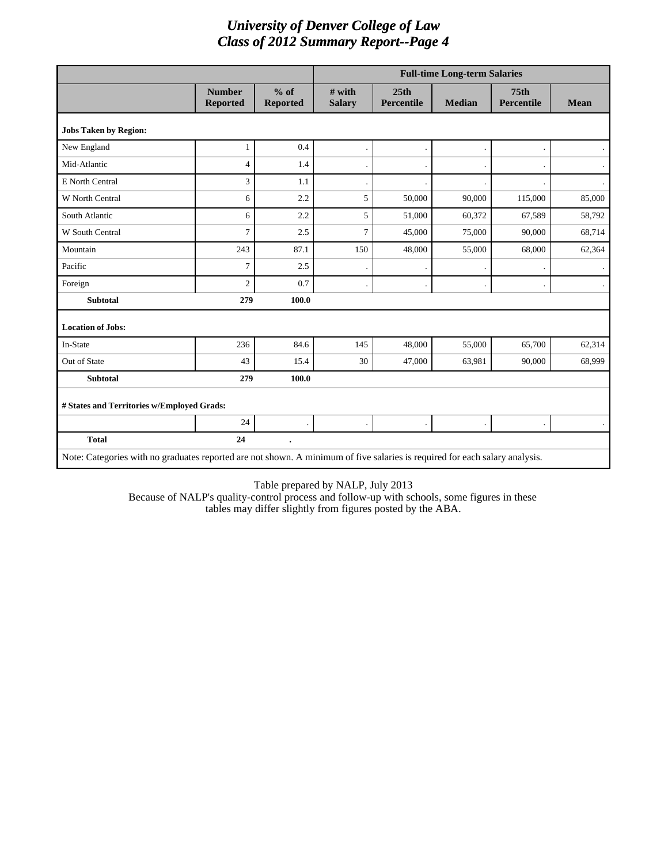|                                                                                                                             |                                  |                           |                           |                           | <b>Full-time Long-term Salaries</b> |                                       |                |
|-----------------------------------------------------------------------------------------------------------------------------|----------------------------------|---------------------------|---------------------------|---------------------------|-------------------------------------|---------------------------------------|----------------|
|                                                                                                                             | <b>Number</b><br><b>Reported</b> | $%$ of<br><b>Reported</b> | $#$ with<br><b>Salary</b> | 25th<br><b>Percentile</b> | <b>Median</b>                       | 75 <sub>th</sub><br><b>Percentile</b> | <b>Mean</b>    |
| <b>Jobs Taken by Region:</b>                                                                                                |                                  |                           |                           |                           |                                     |                                       |                |
| New England                                                                                                                 | $\mathbf{1}$                     | 0.4                       |                           |                           |                                     |                                       |                |
| Mid-Atlantic                                                                                                                | $\overline{4}$                   | 1.4                       |                           |                           |                                     |                                       | $\bullet$      |
| E North Central                                                                                                             | 3                                | 1.1                       |                           |                           |                                     |                                       | $\blacksquare$ |
| W North Central                                                                                                             | 6                                | 2.2                       | 5                         | 50,000                    | 90,000                              | 115,000                               | 85,000         |
| South Atlantic                                                                                                              | 6                                | 2.2                       | 5                         | 51,000                    | 60,372                              | 67,589                                | 58,792         |
| W South Central                                                                                                             | 7                                | 2.5                       | 7                         | 45,000                    | 75,000                              | 90,000                                | 68,714         |
| Mountain                                                                                                                    | 243                              | 87.1                      | 150                       | 48,000                    | 55,000                              | 68,000                                | 62,364         |
| Pacific                                                                                                                     | $\overline{7}$                   | 2.5                       |                           |                           |                                     |                                       |                |
| Foreign                                                                                                                     | $\overline{c}$                   | 0.7                       |                           |                           |                                     |                                       |                |
| <b>Subtotal</b>                                                                                                             | 279                              | 100.0                     |                           |                           |                                     |                                       |                |
| <b>Location of Jobs:</b>                                                                                                    |                                  |                           |                           |                           |                                     |                                       |                |
| In-State                                                                                                                    | 236                              | 84.6                      | 145                       | 48,000                    | 55,000                              | 65,700                                | 62,314         |
| Out of State                                                                                                                | 43                               | 15.4                      | 30                        | 47,000                    | 63,981                              | 90,000                                | 68,999         |
| <b>Subtotal</b>                                                                                                             | 279                              | 100.0                     |                           |                           |                                     |                                       |                |
| # States and Territories w/Employed Grads:                                                                                  |                                  |                           |                           |                           |                                     |                                       |                |
|                                                                                                                             | 24                               |                           |                           |                           |                                     |                                       |                |
| <b>Total</b>                                                                                                                | 24                               |                           |                           |                           |                                     |                                       |                |
| Note: Categories with no graduates reported are not shown. A minimum of five salaries is required for each salary analysis. |                                  |                           |                           |                           |                                     |                                       |                |

Table prepared by NALP, July 2013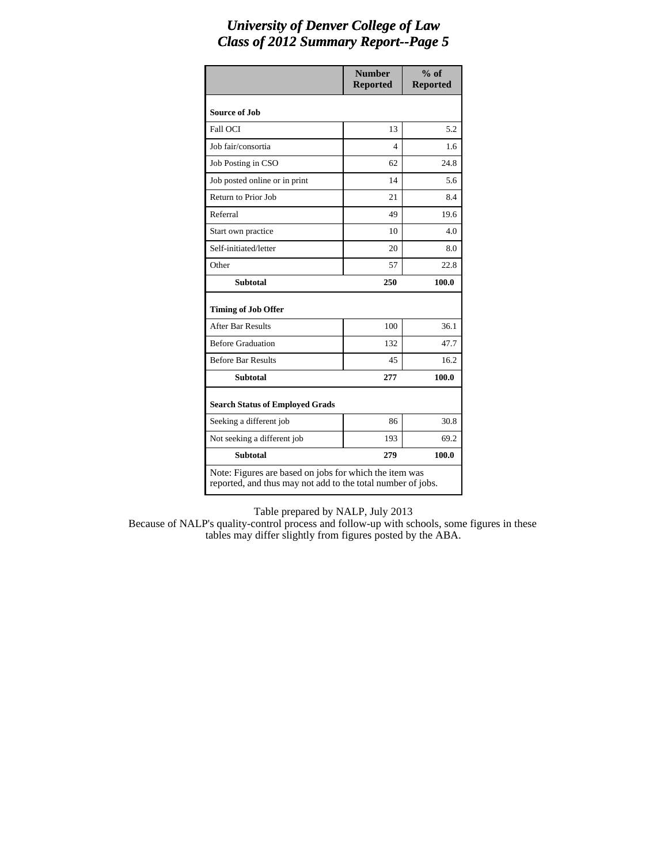|                                                                                                                       | <b>Number</b><br><b>Reported</b> | $%$ of<br><b>Reported</b> |
|-----------------------------------------------------------------------------------------------------------------------|----------------------------------|---------------------------|
| <b>Source of Job</b>                                                                                                  |                                  |                           |
| Fall OCI                                                                                                              | 13                               | 5.2                       |
| Job fair/consortia                                                                                                    | 4                                | 1.6                       |
| Job Posting in CSO                                                                                                    | 62                               | 24.8                      |
| Job posted online or in print                                                                                         | 14                               | 5.6                       |
| Return to Prior Job                                                                                                   | 21                               | 8.4                       |
| Referral                                                                                                              | 49                               | 19.6                      |
| Start own practice                                                                                                    | 10                               | 4.0                       |
| Self-initiated/letter                                                                                                 | 20                               | 8.0                       |
| Other                                                                                                                 | 57                               | 22.8                      |
| <b>Subtotal</b>                                                                                                       | 250                              | 100.0                     |
| <b>Timing of Job Offer</b>                                                                                            |                                  |                           |
| <b>After Bar Results</b>                                                                                              | 100                              | 36.1                      |
| <b>Before Graduation</b>                                                                                              | 132                              | 47.7                      |
| <b>Before Bar Results</b>                                                                                             | 45                               | 16.2                      |
| <b>Subtotal</b>                                                                                                       | 277                              | 100.0                     |
| <b>Search Status of Employed Grads</b>                                                                                |                                  |                           |
| Seeking a different job                                                                                               | 86                               | 30.8                      |
| Not seeking a different job                                                                                           | 193                              | 69.2                      |
| <b>Subtotal</b>                                                                                                       | 279                              | 100.0                     |
| Note: Figures are based on jobs for which the item was<br>reported, and thus may not add to the total number of jobs. |                                  |                           |

Table prepared by NALP, July 2013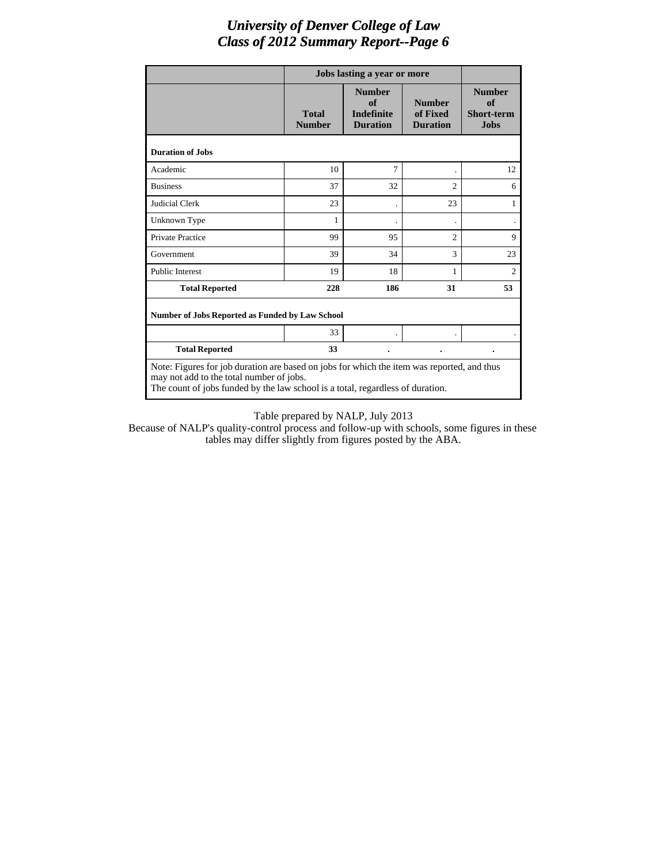|                                                                                                                                                                                                                          |                               | Jobs lasting a year or more                                 |                                              |                                                         |  |  |  |
|--------------------------------------------------------------------------------------------------------------------------------------------------------------------------------------------------------------------------|-------------------------------|-------------------------------------------------------------|----------------------------------------------|---------------------------------------------------------|--|--|--|
|                                                                                                                                                                                                                          | <b>Total</b><br><b>Number</b> | <b>Number</b><br>of<br><b>Indefinite</b><br><b>Duration</b> | <b>Number</b><br>of Fixed<br><b>Duration</b> | <b>Number</b><br>of<br><b>Short-term</b><br><b>Jobs</b> |  |  |  |
| <b>Duration of Jobs</b>                                                                                                                                                                                                  |                               |                                                             |                                              |                                                         |  |  |  |
| Academic                                                                                                                                                                                                                 | 10                            | 7                                                           |                                              | 12                                                      |  |  |  |
| <b>Business</b>                                                                                                                                                                                                          | 37                            | 32                                                          | $\overline{c}$                               | 6                                                       |  |  |  |
| <b>Judicial Clerk</b>                                                                                                                                                                                                    | 23                            |                                                             | 23                                           | 1                                                       |  |  |  |
| Unknown Type                                                                                                                                                                                                             | 1                             |                                                             |                                              |                                                         |  |  |  |
| <b>Private Practice</b>                                                                                                                                                                                                  | 99                            | 95                                                          | $\overline{c}$                               | 9                                                       |  |  |  |
| Government                                                                                                                                                                                                               | 39                            | 34                                                          | 3                                            | 23                                                      |  |  |  |
| <b>Public Interest</b>                                                                                                                                                                                                   | 19                            | 18                                                          | 1                                            | $\overline{2}$                                          |  |  |  |
| <b>Total Reported</b>                                                                                                                                                                                                    | 228                           | 186                                                         | 31                                           | 53                                                      |  |  |  |
| <b>Number of Jobs Reported as Funded by Law School</b>                                                                                                                                                                   |                               |                                                             |                                              |                                                         |  |  |  |
|                                                                                                                                                                                                                          | 33                            |                                                             |                                              |                                                         |  |  |  |
| <b>Total Reported</b>                                                                                                                                                                                                    | 33                            |                                                             |                                              |                                                         |  |  |  |
| Note: Figures for job duration are based on jobs for which the item was reported, and thus<br>may not add to the total number of jobs.<br>The count of jobs funded by the law school is a total, regardless of duration. |                               |                                                             |                                              |                                                         |  |  |  |

Table prepared by NALP, July 2013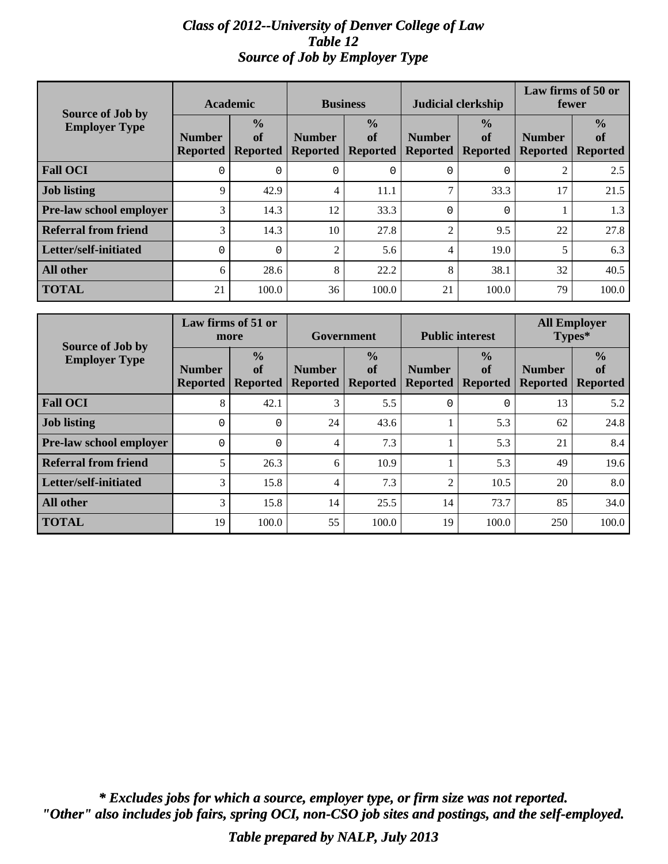#### *Class of 2012--University of Denver College of Law Table 12 Source of Job by Employer Type*

| <b>Source of Job by</b>        | <b>Academic</b>                  |                                        | <b>Business</b>                  |                                        |                                  | <b>Judicial clerkship</b>              | Law firms of 50 or<br>fewer      |                                        |
|--------------------------------|----------------------------------|----------------------------------------|----------------------------------|----------------------------------------|----------------------------------|----------------------------------------|----------------------------------|----------------------------------------|
| <b>Employer Type</b>           | <b>Number</b><br><b>Reported</b> | $\frac{0}{0}$<br>of<br><b>Reported</b> | <b>Number</b><br><b>Reported</b> | $\frac{0}{0}$<br>of<br><b>Reported</b> | <b>Number</b><br><b>Reported</b> | $\frac{0}{0}$<br>of<br><b>Reported</b> | <b>Number</b><br><b>Reported</b> | $\frac{0}{0}$<br>of<br><b>Reported</b> |
| <b>Fall OCI</b>                | $\Omega$                         | 0                                      | 0                                |                                        | 0                                | $\Omega$                               | $\overline{2}$                   | 2.5                                    |
| <b>Job listing</b>             | 9                                | 42.9                                   | 4                                | 11.1                                   | $\tau$                           | 33.3                                   | 17                               | 21.5                                   |
| <b>Pre-law school employer</b> | 3                                | 14.3                                   | 12                               | 33.3                                   | $\Omega$                         | $\Omega$                               |                                  | 1.3                                    |
| <b>Referral from friend</b>    | 3                                | 14.3                                   | 10                               | 27.8                                   | 2                                | 9.5                                    | 22                               | 27.8                                   |
| Letter/self-initiated          | $\Omega$                         | $\Omega$                               | $\overline{c}$                   | 5.6                                    | 4                                | 19.0                                   | 5                                | 6.3                                    |
| <b>All other</b>               | 6                                | 28.6                                   | 8                                | 22.2                                   | 8                                | 38.1                                   | 32                               | 40.5                                   |
| <b>TOTAL</b>                   | 21                               | 100.0                                  | 36                               | 100.0                                  | 21                               | 100.0                                  | 79                               | 100.0                                  |

| Source of Job by            | Law firms of 51 or<br>more       |                                        | Government                       |                                        |                                  | <b>Public interest</b>                 | <b>All Employer</b><br>Types*    |                                        |
|-----------------------------|----------------------------------|----------------------------------------|----------------------------------|----------------------------------------|----------------------------------|----------------------------------------|----------------------------------|----------------------------------------|
| <b>Employer Type</b>        | <b>Number</b><br><b>Reported</b> | $\frac{0}{0}$<br>of<br><b>Reported</b> | <b>Number</b><br><b>Reported</b> | $\frac{0}{0}$<br>of<br><b>Reported</b> | <b>Number</b><br><b>Reported</b> | $\frac{0}{0}$<br>of<br><b>Reported</b> | <b>Number</b><br><b>Reported</b> | $\frac{0}{0}$<br>of<br><b>Reported</b> |
| <b>Fall OCI</b>             | 8                                | 42.1                                   | 3                                | 5.5                                    | 0                                | $\Omega$                               | 13                               | 5.2                                    |
| <b>Job listing</b>          | 0                                | $\Omega$                               | 24                               | 43.6                                   |                                  | 5.3                                    | 62                               | 24.8                                   |
| Pre-law school employer     | $\Omega$                         | $\Omega$                               | 4                                | 7.3                                    |                                  | 5.3                                    | 21                               | 8.4                                    |
| <b>Referral from friend</b> | 5                                | 26.3                                   | 6                                | 10.9                                   |                                  | 5.3                                    | 49                               | 19.6                                   |
| Letter/self-initiated       | 3                                | 15.8                                   | 4                                | 7.3                                    | $\overline{2}$                   | 10.5                                   | 20                               | 8.0                                    |
| <b>All other</b>            | 3                                | 15.8                                   | 14                               | 25.5                                   | 14                               | 73.7                                   | 85                               | 34.0                                   |
| <b>TOTAL</b>                | 19                               | 100.0                                  | 55                               | 100.0                                  | 19                               | 100.0                                  | 250                              | 100.0                                  |

*"Other" also includes job fairs, spring OCI, non-CSO job sites and postings, and the self-employed. \* Excludes jobs for which a source, employer type, or firm size was not reported.*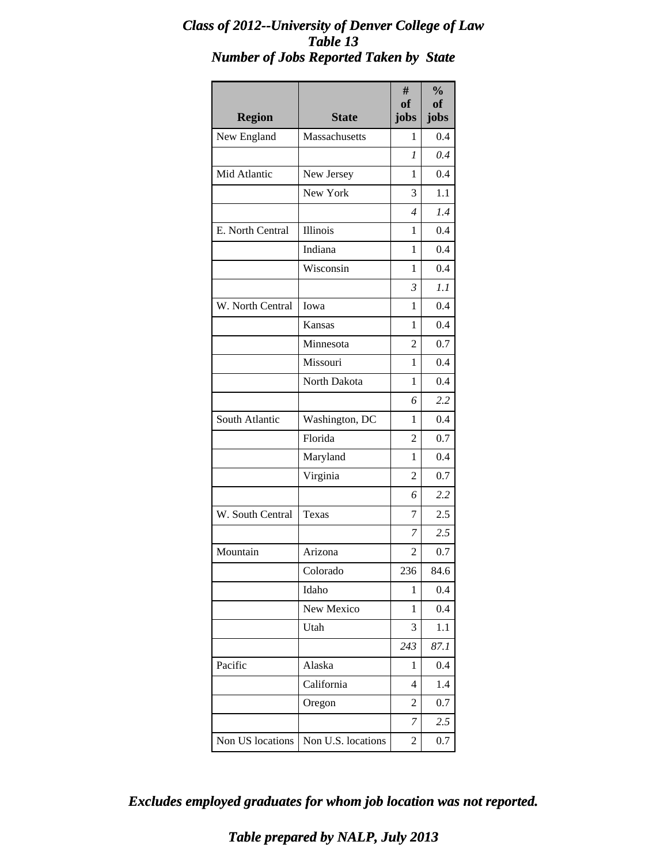#### *Class of 2012--University of Denver College of Law Table 13 Number of Jobs Reported Taken by State*

| <b>Region</b>    | <b>State</b>       | #<br><b>of</b><br>jobs   | $\frac{0}{0}$<br><b>of</b><br>jobs |
|------------------|--------------------|--------------------------|------------------------------------|
| New England      | Massachusetts      | 1                        | 0.4                                |
|                  |                    | 1                        | 0.4                                |
| Mid Atlantic     | New Jersey         | 1                        | 0.4                                |
|                  | New York           | 3                        | 1.1                                |
|                  |                    | $\overline{\mathcal{A}}$ | 1.4                                |
| E. North Central | Illinois           | 1                        | 0.4                                |
|                  | Indiana            | 1                        | 0.4                                |
|                  | Wisconsin          | 1                        | 0.4                                |
|                  |                    | 3                        | 1.1                                |
| W. North Central | Iowa               | 1                        | 0.4                                |
|                  | Kansas             | 1                        | 0.4                                |
|                  | Minnesota          | 2                        | 0.7                                |
|                  | Missouri           | 1                        | 0.4                                |
|                  | North Dakota       | 1                        | 0.4                                |
|                  |                    | 6                        | 2.2                                |
| South Atlantic   | Washington, DC     | 1                        | 0.4                                |
|                  | Florida            | 2                        | 0.7                                |
|                  | Maryland           | 1                        | 0.4                                |
|                  | Virginia           | 2                        | 0.7                                |
|                  |                    | 6                        | 2.2                                |
| W. South Central | Texas              | 7                        | 2.5                                |
|                  |                    | 7                        | 2.5                                |
| Mountain         | Arizona            | 2                        | 0.7                                |
|                  | Colorado           | 236                      | 84.6                               |
|                  | Idaho              | 1                        | 0.4                                |
|                  | New Mexico         | 1                        | 0.4                                |
|                  | Utah               | 3                        | 1.1                                |
|                  |                    | 243                      | 87.1                               |
| Pacific          | Alaska             | 1                        | 0.4                                |
|                  | California         | 4                        | 1.4                                |
|                  | Oregon             | 2                        | 0.7                                |
|                  |                    | 7                        | 2.5                                |
| Non US locations | Non U.S. locations | 2                        | 0.7                                |

*Excludes employed graduates for whom job location was not reported.*

*Table prepared by NALP, July 2013*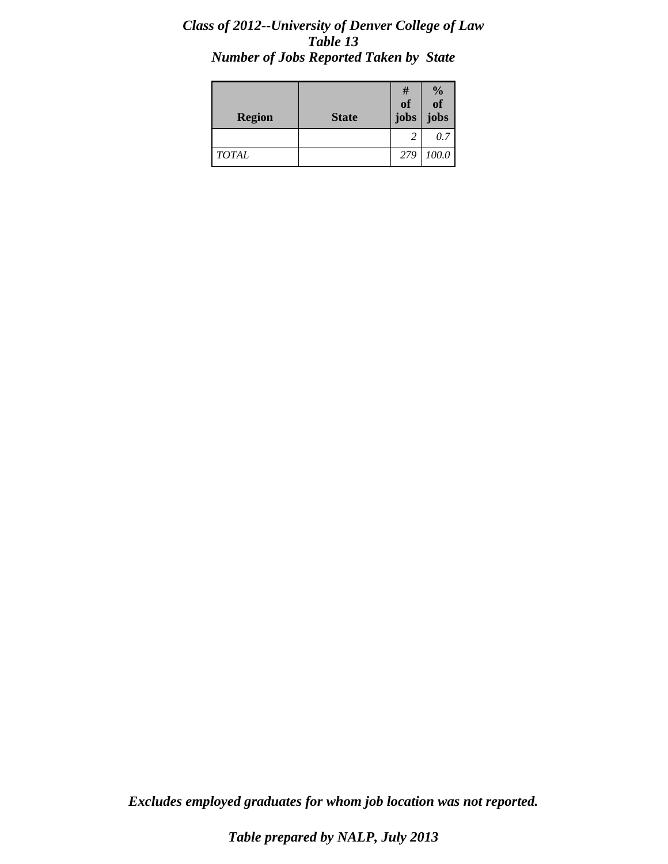#### *Class of 2012--University of Denver College of Law Table 13 Number of Jobs Reported Taken by State*

| <b>Region</b> | <b>State</b> | #<br><b>of</b><br>jobs | $\frac{0}{0}$<br>$\overline{\textbf{0}}$<br>jobs |
|---------------|--------------|------------------------|--------------------------------------------------|
|               |              | 2                      | 0.7                                              |
| <b>TOTAL</b>  |              | 279                    | 100.0                                            |

*Excludes employed graduates for whom job location was not reported.*

*Table prepared by NALP, July 2013*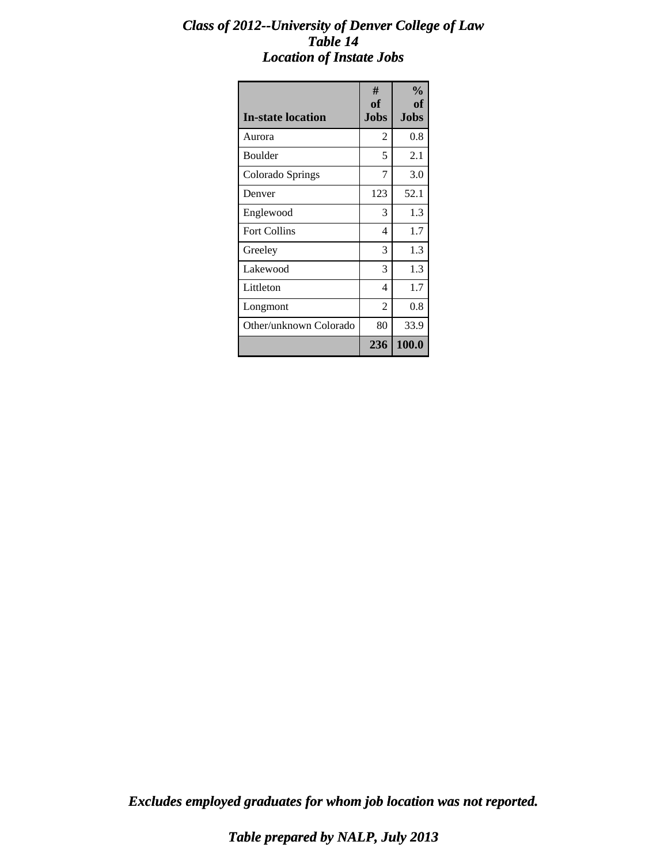#### *Class of 2012--University of Denver College of Law Table 14 Location of Instate Jobs*

| <b>In-state location</b> | #<br>of<br><b>Jobs</b> | $\frac{0}{0}$<br>of<br><b>Jobs</b> |
|--------------------------|------------------------|------------------------------------|
| Aurora                   | 2                      | 0.8                                |
| Boulder                  | 5                      | 2.1                                |
| Colorado Springs         | 7                      | 3.0                                |
| Denver                   | 123                    | 52.1                               |
| Englewood                | 3                      | 1.3                                |
| <b>Fort Collins</b>      | 4                      | 1.7                                |
| Greeley                  | 3                      | 1.3                                |
| Lakewood                 | 3                      | 1.3                                |
| Littleton                | 4                      | 1.7                                |
| Longmont                 | $\overline{2}$         | 0.8                                |
| Other/unknown Colorado   | 80                     | 33.9                               |
|                          | 236                    | 100.0                              |

*Excludes employed graduates for whom job location was not reported.*